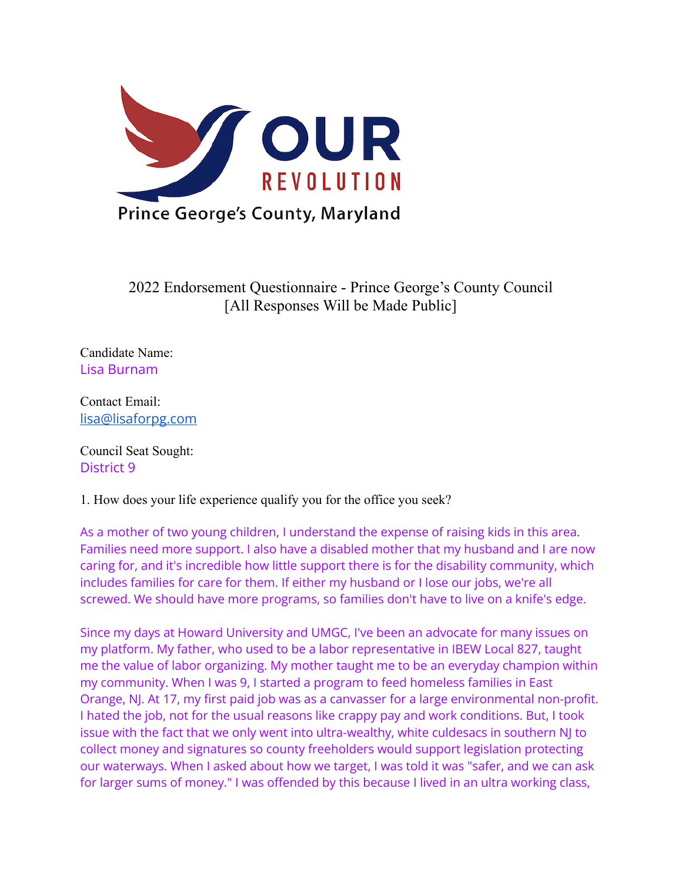

2022 Endorsement Questionnaire - Prince George's County Council [All Responses Will be Made Public]

Candidate Name: Lisa Burnam

Contact Email: [lisa@lisaforpg.com](mailto:lisa@lisaforpg.com)

Council Seat Sought: District 9

1. How does your life experience qualify you for the office you seek?

As a mother of two young children, I understand the expense of raising kids in this area. Families need more support. I also have a disabled mother that my husband and I are now caring for, and it's incredible how little support there is for the disability community, which includes families for care for them. If either my husband or I lose our jobs, we're all screwed. We should have more programs, so families don't have to live on a knife's edge.

Since my days at Howard University and UMGC, I've been an advocate for many issues on my platform. My father, who used to be a labor representative in IBEW Local 827, taught me the value of labor organizing. My mother taught me to be an everyday champion within my community. When I was 9, I started a program to feed homeless families in East Orange, NJ. At 17, my first paid job was as a canvasser for a large environmental non-profit. I hated the job, not for the usual reasons like crappy pay and work conditions. But, I took issue with the fact that we only went into ultra-wealthy, white culdesacs in southern NJ to collect money and signatures so county freeholders would support legislation protecting our waterways. When I asked about how we target, I was told it was "safer, and we can ask for larger sums of money." I was offended by this because I lived in an ultra working class,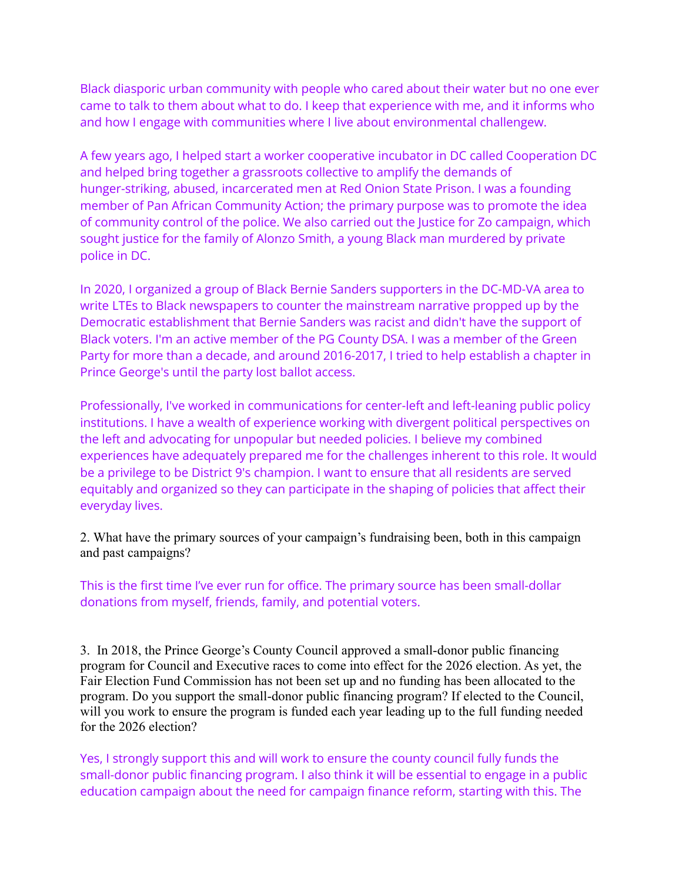Black diasporic urban community with people who cared about their water but no one ever came to talk to them about what to do. I keep that experience with me, and it informs who and how I engage with communities where I live about environmental challengew.

A few years ago, I helped start a worker cooperative incubator in DC called Cooperation DC and helped bring together a grassroots collective to amplify the demands of hunger-striking, abused, incarcerated men at Red Onion State Prison. I was a founding member of Pan African Community Action; the primary purpose was to promote the idea of community control of the police. We also carried out the Justice for Zo campaign, which sought justice for the family of Alonzo Smith, a young Black man murdered by private police in DC.

In 2020, I organized a group of Black Bernie Sanders supporters in the DC-MD-VA area to write LTEs to Black newspapers to counter the mainstream narrative propped up by the Democratic establishment that Bernie Sanders was racist and didn't have the support of Black voters. I'm an active member of the PG County DSA. I was a member of the Green Party for more than a decade, and around 2016-2017, I tried to help establish a chapter in Prince George's until the party lost ballot access.

Professionally, I've worked in communications for center-left and left-leaning public policy institutions. I have a wealth of experience working with divergent political perspectives on the left and advocating for unpopular but needed policies. I believe my combined experiences have adequately prepared me for the challenges inherent to this role. It would be a privilege to be District 9's champion. I want to ensure that all residents are served equitably and organized so they can participate in the shaping of policies that affect their everyday lives.

2. What have the primary sources of your campaign's fundraising been, both in this campaign and past campaigns?

This is the first time I've ever run for office. The primary source has been small-dollar donations from myself, friends, family, and potential voters.

3. In 2018, the Prince George's County Council approved a small-donor public financing program for Council and Executive races to come into effect for the 2026 election. As yet, the Fair Election Fund Commission has not been set up and no funding has been allocated to the program. Do you support the small-donor public financing program? If elected to the Council, will you work to ensure the program is funded each year leading up to the full funding needed for the 2026 election?

Yes, I strongly support this and will work to ensure the county council fully funds the small-donor public financing program. I also think it will be essential to engage in a public education campaign about the need for campaign finance reform, starting with this. The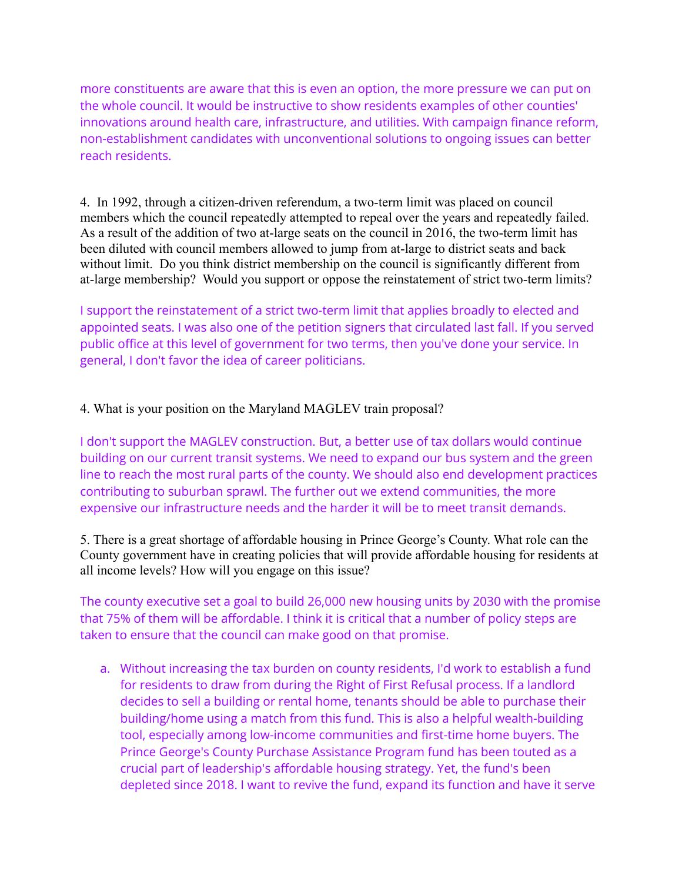more constituents are aware that this is even an option, the more pressure we can put on the whole council. It would be instructive to show residents examples of other counties' innovations around health care, infrastructure, and utilities. With campaign finance reform, non-establishment candidates with unconventional solutions to ongoing issues can better reach residents.

4. In 1992, through a citizen-driven referendum, a two-term limit was placed on council members which the council repeatedly attempted to repeal over the years and repeatedly failed. As a result of the addition of two at-large seats on the council in 2016, the two-term limit has been diluted with council members allowed to jump from at-large to district seats and back without limit. Do you think district membership on the council is significantly different from at-large membership? Would you support or oppose the reinstatement of strict two-term limits?

I support the reinstatement of a strict two-term limit that applies broadly to elected and appointed seats. I was also one of the petition signers that circulated last fall. If you served public office at this level of government for two terms, then you've done your service. In general, I don't favor the idea of career politicians.

## 4. What is your position on the Maryland MAGLEV train proposal?

I don't support the MAGLEV construction. But, a better use of tax dollars would continue building on our current transit systems. We need to expand our bus system and the green line to reach the most rural parts of the county. We should also end development practices contributing to suburban sprawl. The further out we extend communities, the more expensive our infrastructure needs and the harder it will be to meet transit demands.

5. There is a great shortage of affordable housing in Prince George's County. What role can the County government have in creating policies that will provide affordable housing for residents at all income levels? How will you engage on this issue?

The county executive set a goal to build 26,000 new housing units by 2030 with the promise that 75% of them will be affordable. I think it is critical that a number of policy steps are taken to ensure that the council can make good on that promise.

a. Without increasing the tax burden on county residents, I'd work to establish a fund for residents to draw from during the Right of First Refusal process. If a landlord decides to sell a building or rental home, tenants should be able to purchase their building/home using a match from this fund. This is also a helpful wealth-building tool, especially among low-income communities and first-time home buyers. The Prince George's County Purchase Assistance Program fund has been touted as a crucial part of leadership's affordable housing strategy. Yet, the fund's been depleted since 2018. I want to revive the fund, expand its function and have it serve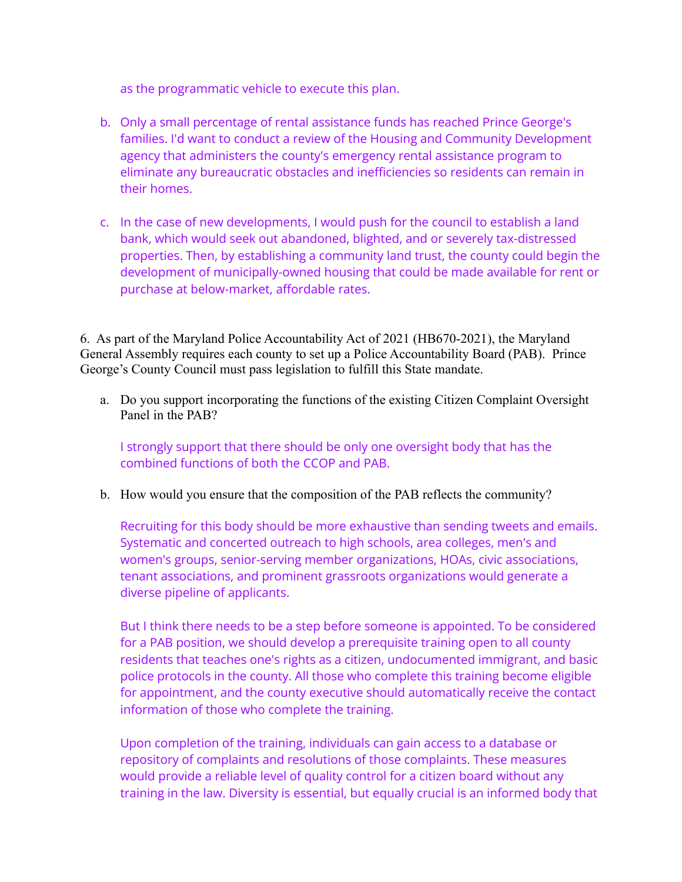as the programmatic vehicle to execute this plan.

- b. Only a small percentage of rental assistance funds has reached Prince George's families. I'd want to conduct a review of the Housing and Community Development agency that administers the county's emergency rental assistance program to eliminate any bureaucratic obstacles and inefficiencies so residents can remain in their homes.
- c. In the case of new developments, I would push for the council to establish a land bank, which would seek out abandoned, blighted, and or severely tax-distressed properties. Then, by establishing a community land trust, the county could begin the development of municipally-owned housing that could be made available for rent or purchase at below-market, affordable rates.

6. As part of the Maryland Police Accountability Act of 2021 (HB670-2021), the Maryland General Assembly requires each county to set up a Police Accountability Board (PAB). Prince George's County Council must pass legislation to fulfill this State mandate.

a. Do you support incorporating the functions of the existing Citizen Complaint Oversight Panel in the PAB?

I strongly support that there should be only one oversight body that has the combined functions of both the CCOP and PAB.

b. How would you ensure that the composition of the PAB reflects the community?

Recruiting for this body should be more exhaustive than sending tweets and emails. Systematic and concerted outreach to high schools, area colleges, men's and women's groups, senior-serving member organizations, HOAs, civic associations, tenant associations, and prominent grassroots organizations would generate a diverse pipeline of applicants.

But I think there needs to be a step before someone is appointed. To be considered for a PAB position, we should develop a prerequisite training open to all county residents that teaches one's rights as a citizen, undocumented immigrant, and basic police protocols in the county. All those who complete this training become eligible for appointment, and the county executive should automatically receive the contact information of those who complete the training.

Upon completion of the training, individuals can gain access to a database or repository of complaints and resolutions of those complaints. These measures would provide a reliable level of quality control for a citizen board without any training in the law. Diversity is essential, but equally crucial is an informed body that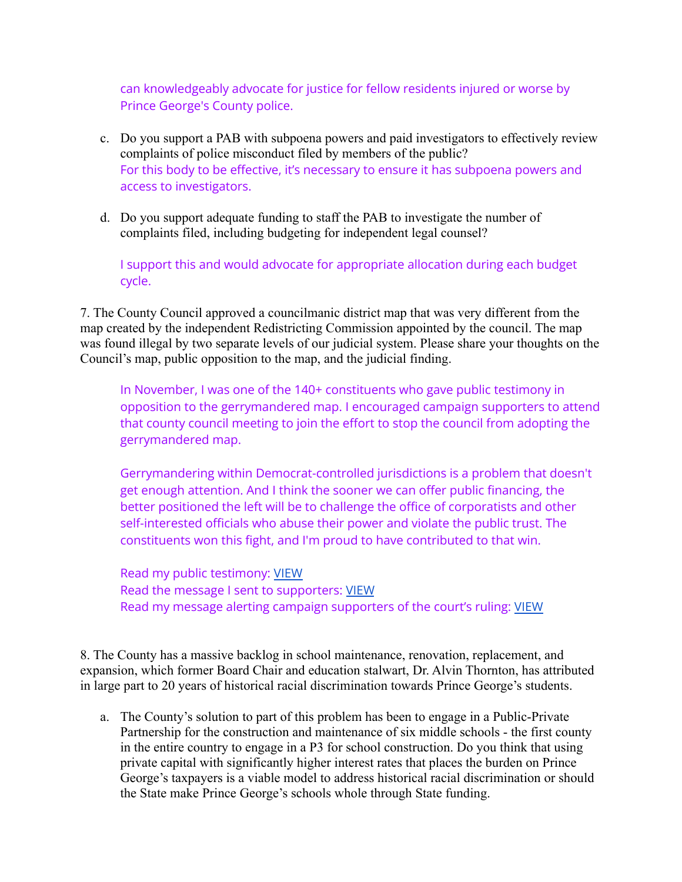can knowledgeably advocate for justice for fellow residents injured or worse by Prince George's County police.

- c. Do you support a PAB with subpoena powers and paid investigators to effectively review complaints of police misconduct filed by members of the public? For this body to be effective, it's necessary to ensure it has subpoena powers and access to investigators.
- d. Do you support adequate funding to staff the PAB to investigate the number of complaints filed, including budgeting for independent legal counsel?

I support this and would advocate for appropriate allocation during each budget cycle.

7. The County Council approved a councilmanic district map that was very different from the map created by the independent Redistricting Commission appointed by the council. The map was found illegal by two separate levels of our judicial system. Please share your thoughts on the Council's map, public opposition to the map, and the judicial finding.

In November, I was one of the 140+ constituents who gave public testimony in opposition to the gerrymandered map. I encouraged campaign supporters to attend that county council meeting to join the effort to stop the council from adopting the gerrymandered map.

Gerrymandering within Democrat-controlled jurisdictions is a problem that doesn't get enough attention. And I think the sooner we can offer public financing, the better positioned the left will be to challenge the office of corporatists and other self-interested officials who abuse their power and violate the public trust. The constituents won this fight, and I'm proud to have contributed to that win.

Read my public testimony: [VIEW](https://www.instagram.com/p/CWW-ucWMDXt/) Read the message I sent to supporters: [VIEW](https://mailchi.mp/lisaforpg/stop-gerrymandering-prince-georges-county?e=[UNIQID]) Read my message alerting campaign supporters of the court's ruling: [VIEW](https://mailchi.mp/lisaforpg/opposehb157?e=[UNIQID])

8. The County has a massive backlog in school maintenance, renovation, replacement, and expansion, which former Board Chair and education stalwart, Dr. Alvin Thornton, has attributed in large part to 20 years of historical racial discrimination towards Prince George's students.

a. The County's solution to part of this problem has been to engage in a Public-Private Partnership for the construction and maintenance of six middle schools - the first county in the entire country to engage in a P3 for school construction. Do you think that using private capital with significantly higher interest rates that places the burden on Prince George's taxpayers is a viable model to address historical racial discrimination or should the State make Prince George's schools whole through State funding.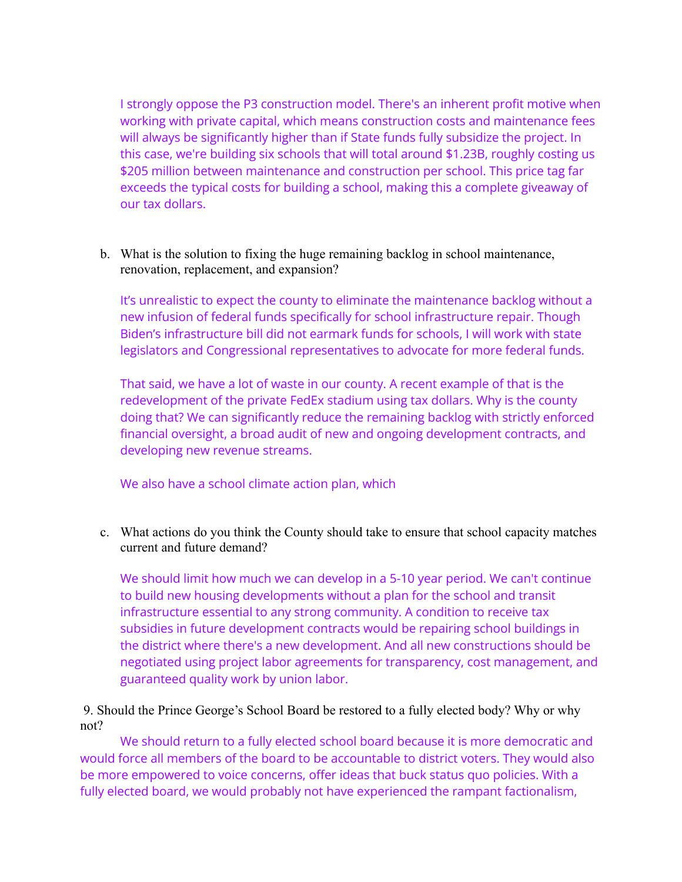I strongly oppose the P3 construction model. There's an inherent profit motive when working with private capital, which means construction costs and maintenance fees will always be significantly higher than if State funds fully subsidize the project. In this case, we're building six schools that will total around \$1.23B, roughly costing us \$205 million between maintenance and construction per school. This price tag far exceeds the typical costs for building a school, making this a complete giveaway of our tax dollars.

b. What is the solution to fixing the huge remaining backlog in school maintenance, renovation, replacement, and expansion?

It's unrealistic to expect the county to eliminate the maintenance backlog without a new infusion of federal funds specifically for school infrastructure repair. Though Biden's infrastructure bill did not earmark funds for schools, I will work with state legislators and Congressional representatives to advocate for more federal funds.

That said, we have a lot of waste in our county. A recent example of that is the redevelopment of the private FedEx stadium using tax dollars. Why is the county doing that? We can significantly reduce the remaining backlog with strictly enforced financial oversight, a broad audit of new and ongoing development contracts, and developing new revenue streams.

## We also have a school climate action plan, which

c. What actions do you think the County should take to ensure that school capacity matches current and future demand?

We should limit how much we can develop in a 5-10 year period. We can't continue to build new housing developments without a plan for the school and transit infrastructure essential to any strong community. A condition to receive tax subsidies in future development contracts would be repairing school buildings in the district where there's a new development. And all new constructions should be negotiated using project labor agreements for transparency, cost management, and guaranteed quality work by union labor.

9. Should the Prince George's School Board be restored to a fully elected body? Why or why not?

We should return to a fully elected school board because it is more democratic and would force all members of the board to be accountable to district voters. They would also be more empowered to voice concerns, offer ideas that buck status quo policies. With a fully elected board, we would probably not have experienced the rampant factionalism,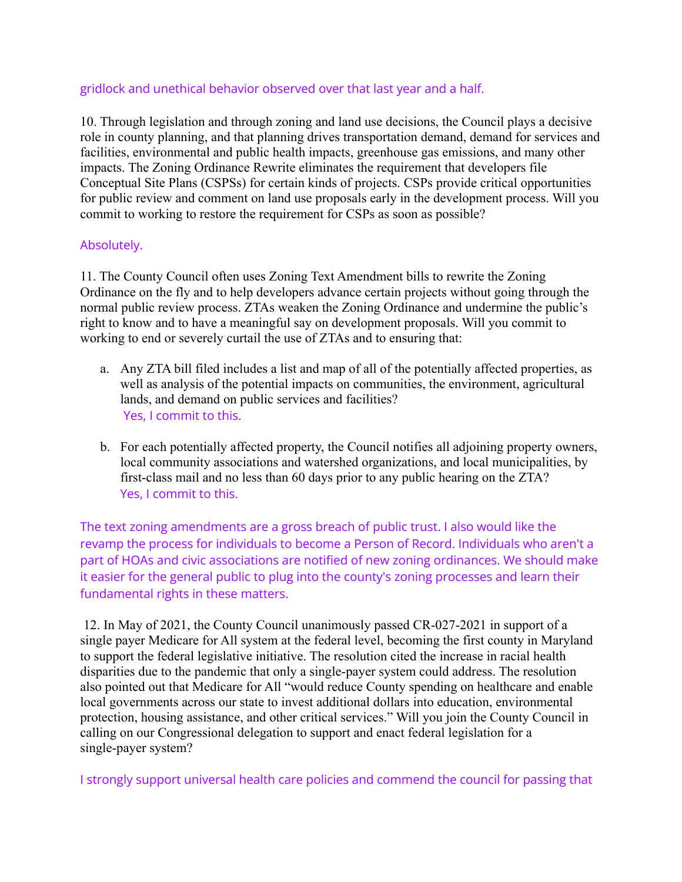## gridlock and unethical behavior observed over that last year and a half.

10. Through legislation and through zoning and land use decisions, the Council plays a decisive role in county planning, and that planning drives transportation demand, demand for services and facilities, environmental and public health impacts, greenhouse gas emissions, and many other impacts. The Zoning Ordinance Rewrite eliminates the requirement that developers file Conceptual Site Plans (CSPSs) for certain kinds of projects. CSPs provide critical opportunities for public review and comment on land use proposals early in the development process. Will you commit to working to restore the requirement for CSPs as soon as possible?

## Absolutely.

11. The County Council often uses Zoning Text Amendment bills to rewrite the Zoning Ordinance on the fly and to help developers advance certain projects without going through the normal public review process. ZTAs weaken the Zoning Ordinance and undermine the public's right to know and to have a meaningful say on development proposals. Will you commit to working to end or severely curtail the use of ZTAs and to ensuring that:

- a. Any ZTA bill filed includes a list and map of all of the potentially affected properties, as well as analysis of the potential impacts on communities, the environment, agricultural lands, and demand on public services and facilities? Yes, I commit to this.
- b. For each potentially affected property, the Council notifies all adjoining property owners, local community associations and watershed organizations, and local municipalities, by first-class mail and no less than 60 days prior to any public hearing on the ZTA? Yes, I commit to this.

The text zoning amendments are a gross breach of public trust. I also would like the revamp the process for individuals to become a Person of Record. Individuals who aren't a part of HOAs and civic associations are notified of new zoning ordinances. We should make it easier for the general public to plug into the county's zoning processes and learn their fundamental rights in these matters.

12. In May of 2021, the County Council unanimously passed CR-027-2021 in support of a single payer Medicare for All system at the federal level, becoming the first county in Maryland to support the federal legislative initiative. The resolution cited the increase in racial health disparities due to the pandemic that only a single-payer system could address. The resolution also pointed out that Medicare for All "would reduce County spending on healthcare and enable local governments across our state to invest additional dollars into education, environmental protection, housing assistance, and other critical services." Will you join the County Council in calling on our Congressional delegation to support and enact federal legislation for a single-payer system?

I strongly support universal health care policies and commend the council for passing that